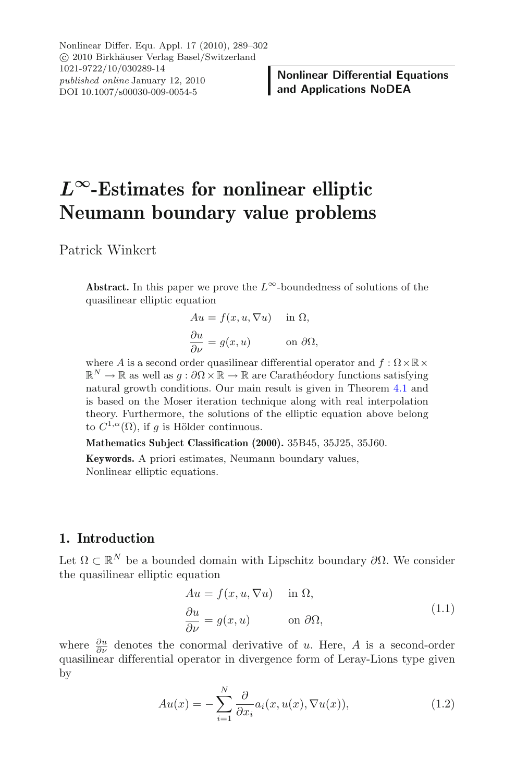Nonlinear Differ. Equ. Appl. 17 (2010), 289–302 C 2010 Birkhäuser Verlag Basel/Switzerland 1021-9722/10/030289-14 *published online* January 12, 2010 DOI 10.1007/s00030-009-0054-5

# *L∞***-Estimates for nonlinear elliptic Neumann boundary value problems**

Patrick Winkert

**Abstract.** In this paper we prove the  $L^{\infty}$ -boundedness of solutions of the quasilinear elliptic equation

$$
Au = f(x, u, \nabla u) \quad \text{in } \Omega,
$$
  
\n
$$
\frac{\partial u}{\partial \nu} = g(x, u) \quad \text{on } \partial \Omega,
$$
  
\ndor ausilinear differential

where A is a second order quasilinear differential operator and  $f : \Omega \times \mathbb{R} \times \mathbb{R}^N \to \mathbb{R}$  as well as  $g : \partial \Omega \times \mathbb{R} \to \mathbb{R}$  are Carathéodory functions satisfying  $\mathbb{R}^N \to \mathbb{R}$  as well as  $q : \partial\Omega \times \mathbb{R} \to \mathbb{R}$  are Carathéodory functions satisfying natural growth conditions. Our main result is given in Theorem [4.1](#page-5-0) and is based on the Moser iteration technique along with real interpolation theory. Furthermore, the solutions of the elliptic equation above belong to  $C^{1,\alpha}(\overline{\Omega})$ , if q is Hölder continuous.

**Mathematics Subject Classification (2000).** 35B45, 35J25, 35J60.

**Keywords.** A priori estimates, Neumann boundary values, Nonlinear elliptic equations.

## **1. Introduction**

Let  $\Omega \subset \mathbb{R}^N$  be a bounded domain with Lipschitz boundary  $\partial \Omega$ . We consider the quasilinear elliptic equation

$$
Au = f(x, u, \nabla u) \quad \text{in } \Omega,
$$
  
\n
$$
\frac{\partial u}{\partial \nu} = g(x, u) \qquad \text{on } \partial \Omega,
$$
\n(1.1)

<span id="page-0-0"></span>where  $\frac{\partial u}{\partial \nu}$  denotes the conormal derivative of u. Here, A is a second-order quasilinear differential operator in divergence form of Leray-Lions type given by

$$
Au(x) = -\sum_{i=1}^{N} \frac{\partial}{\partial x_i} a_i(x, u(x), \nabla u(x)), \qquad (1.2)
$$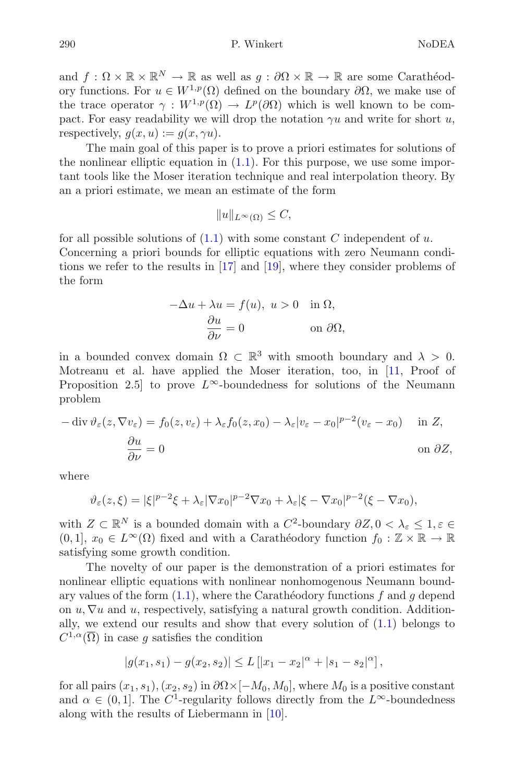and  $f: \Omega \times \mathbb{R} \times \mathbb{R}^N \to \mathbb{R}$  as well as  $g: \partial \Omega \times \mathbb{R} \to \mathbb{R}$  are some Carathéodory functions. For  $u \in W^{1,p}(\Omega)$  defined on the boundary  $\partial\Omega$ , we make use of the trace operator  $\gamma: W^{1,p}(\Omega) \to L^p(\partial\Omega)$  which is well known to be compact. For easy readability we will drop the notation  $\gamma u$  and write for short u, respectively,  $q(x, u) := q(x, \gamma u)$ .

The main goal of this paper is to prove a priori estimates for solutions of the nonlinear elliptic equation in [\(1.1\)](#page-0-0). For this purpose, we use some important tools like the Moser iteration technique and real interpolation theory. By an a priori estimate, we mean an estimate of the form

$$
||u||_{L^{\infty}(\Omega)} \leq C,
$$

for all possible solutions of  $(1.1)$  with some constant C independent of u. Concerning a priori bounds for elliptic equations with zero Neumann conditions we refer to the results in [\[17\]](#page-13-0) and [\[19](#page-13-1)], where they consider problems of the form

$$
-\Delta u + \lambda u = f(u), \ u > 0 \quad \text{in } \Omega,
$$

$$
\frac{\partial u}{\partial \nu} = 0 \qquad \text{on } \partial \Omega,
$$

in a bounded convex domain  $\Omega \subset \mathbb{R}^3$  with smooth boundary and  $\lambda > 0$ . Motreanu et al. have applied the Moser iteration, too, in [\[11,](#page-13-2) Proof of Proposition 2.5] to prove  $L^{\infty}$ -boundedness for solutions of the Neumann problem

$$
-\operatorname{div} \vartheta_{\varepsilon}(z, \nabla v_{\varepsilon}) = f_0(z, v_{\varepsilon}) + \lambda_{\varepsilon} f_0(z, x_0) - \lambda_{\varepsilon} |v_{\varepsilon} - x_0|^{p-2} (v_{\varepsilon} - x_0) \quad \text{in } Z,
$$

$$
\frac{\partial u}{\partial \nu} = 0 \quad \text{on } \partial Z,
$$

where

$$
\vartheta_{\varepsilon}(z,\xi) = |\xi|^{p-2}\xi + \lambda_{\varepsilon} |\nabla x_0|^{p-2}\nabla x_0 + \lambda_{\varepsilon} |\xi - \nabla x_0|^{p-2} (\xi - \nabla x_0),
$$

with  $Z \subset \mathbb{R}^N$  is a bounded domain with a  $C^2$ -boundary  $\partial Z$ ,  $0 < \lambda_{\varepsilon} \leq 1, \varepsilon \in$  $(0, 1], x_0 \in L^{\infty}(\Omega)$  fixed and with a Carathéodory function  $f_0 : \mathbb{Z} \times \mathbb{R} \to \mathbb{R}$ satisfying some growth condition.

The novelty of our paper is the demonstration of a priori estimates for nonlinear elliptic equations with nonlinear nonhomogenous Neumann boundary values of the form  $(1.1)$ , where the Carathéodory functions f and g depend on  $u, \nabla u$  and  $u$ , respectively, satisfying a natural growth conditionally, we extend our results and show that every solution of  $(1.1)$  belongs to  $C^{1,\alpha}(\overline{\Omega})$  in case g satisfies the condition

$$
|g(x_1, s_1) - g(x_2, s_2)| \le L\left[ |x_1 - x_2|^{\alpha} + |s_1 - s_2|^{\alpha} \right],
$$

for all pairs  $(x_1, s_1), (x_2, s_2)$  in  $\partial \Omega \times [-M_0, M_0]$ , where  $M_0$  is a positive constant and  $\alpha \in (0,1]$ . The C<sup>1</sup>-regularity follows directly from the L<sup>∞</sup>-boundedness along with the results of Liebermann in [\[10](#page-13-3)].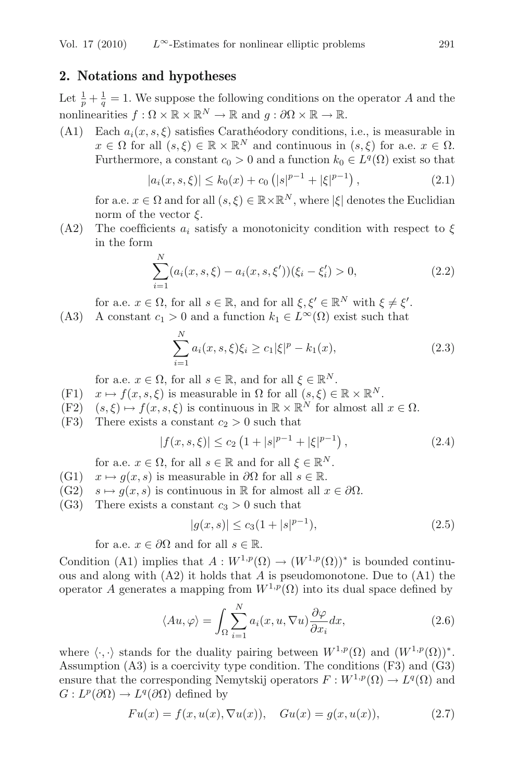## **2. Notations and hypotheses**

Let  $\frac{1}{p} + \frac{1}{q} = 1$ . We suppose the following conditions on the operator A and the nonlinearities  $f : \Omega \times \mathbb{R} \times \mathbb{R}^N \to \mathbb{R}$  and  $g : \partial \Omega \times \mathbb{R} \to \mathbb{R}$ .

(A1) Each  $a_i(x, s, \xi)$  satisfies Carathéodory conditions, i.e., is measurable in  $x \in \Omega$  for all  $(s, \xi) \in \mathbb{R} \times \mathbb{R}^N$  and continuous in  $(s, \xi)$  for a.e.  $x \in \Omega$ . Furthermore, a constant  $c_0 > 0$  and a function  $k_0 \in L^q(\Omega)$  exist so that

$$
|a_i(x, s, \xi)| \le k_0(x) + c_0 \left( |s|^{p-1} + |\xi|^{p-1} \right), \tag{2.1}
$$

for a.e.  $x \in \Omega$  and for all  $(s, \xi) \in \mathbb{R} \times \mathbb{R}^N$ , where  $|\xi|$  denotes the Euclidian norm of the vector  $\xi$ .

(A2) The coefficients  $a_i$  satisfy a monotonicity condition with respect to  $\xi$ in the form

$$
\sum_{i=1}^{N} (a_i(x, s, \xi) - a_i(x, s, \xi'))(\xi_i - \xi_i') > 0,
$$
\n(2.2)

for a.e.  $x \in \Omega$ , for all  $s \in \mathbb{R}$ , and for all  $\xi, \xi' \in \mathbb{R}^N$  with  $\xi \neq \xi'$ .

(A3) A constant  $c_1 > 0$  and a function  $k_1 \in L^{\infty}(\Omega)$  exist such that

$$
\sum_{i=1}^{N} a_i(x, s, \xi) \xi_i \ge c_1 |\xi|^p - k_1(x), \tag{2.3}
$$

for a.e.  $x \in \Omega$ , for all  $s \in \mathbb{R}$ , and for all  $\xi \in \mathbb{R}^N$ .

- $(F1)$  $x \mapsto f(x, s, \xi)$  is measurable in  $\Omega$  for all  $(s, \xi) \in \mathbb{R} \times \mathbb{R}^N$ .
- (F2)  $(s, \xi) \mapsto f(x, s, \xi)$  is continuous in  $\mathbb{R} \times \mathbb{R}^N$  for almost all  $x \in \Omega$ .
- <span id="page-2-0"></span>(F3) There exists a constant  $c_2 > 0$  such that

$$
|f(x, s, \xi)| \le c_2 \left(1 + |s|^{p-1} + |\xi|^{p-1}\right),\tag{2.4}
$$

for a.e.  $x \in \Omega$ , for all  $s \in \mathbb{R}$  and for all  $\xi \in \mathbb{R}^N$ .

- $(G1)$  $x \mapsto g(x, s)$  is measurable in  $\partial\Omega$  for all  $s \in \mathbb{R}$ .
- $(G2)$  $s \mapsto q(x, s)$  is continuous in R for almost all  $x \in \partial \Omega$ .
- (G3) There exists a constant  $c_3 > 0$  such that

$$
|g(x,s)| \le c_3(1+|s|^{p-1}),\tag{2.5}
$$

<span id="page-2-1"></span>for a.e.  $x \in \partial\Omega$  and for all  $s \in \mathbb{R}$ .

Condition (A1) implies that  $A: W^{1,p}(\Omega) \to (W^{1,p}(\Omega))^*$  is bounded continuous and along with  $(A2)$  it holds that A is pseudomonotone. Due to  $(A1)$  the operator A generates a mapping from  $W^{1,p}(\Omega)$  into its dual space defined by

$$
\langle Au, \varphi \rangle = \int_{\Omega} \sum_{i=1}^{N} a_i(x, u, \nabla u) \frac{\partial \varphi}{\partial x_i} dx,
$$
\n(2.6)

where  $\langle \cdot, \cdot \rangle$  stands for the duality pairing between  $W^{1,p}(\Omega)$  and  $(W^{1,p}(\Omega))^*$ . Assumption (A3) is a coercivity type condition. The conditions (F3) and (G3) ensure that the corresponding Nemytskij operators  $F: W^{1,p}(\Omega) \to L^q(\Omega)$  and  $G: L^p(\partial\Omega) \to L^q(\partial\Omega)$  defined by

$$
Fu(x) = f(x, u(x), \nabla u(x)), \quad Gu(x) = g(x, u(x)), \tag{2.7}
$$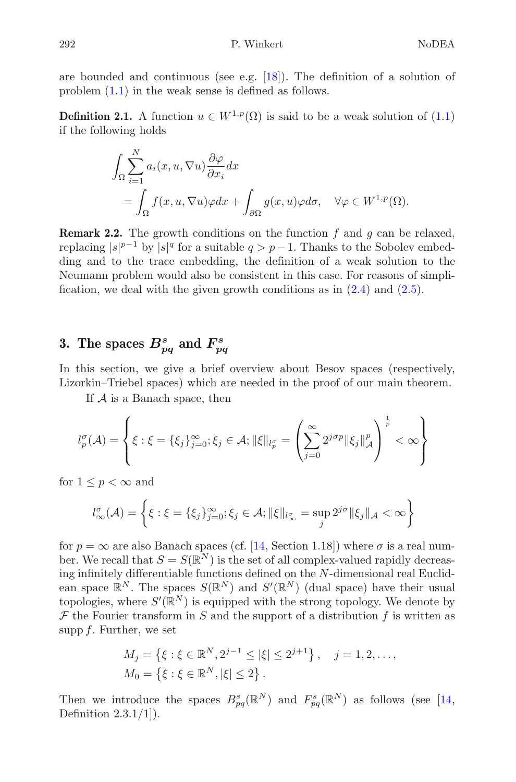<span id="page-3-0"></span>are bounded and continuous (see e.g. [\[18\]](#page-13-4)). The definition of a solution of problem [\(1.1\)](#page-0-0) in the weak sense is defined as follows.

**Definition 2.1.** A function  $u \in W^{1,p}(\Omega)$  is said to be a weak solution of  $(1.1)$ if the following holds

$$
\int_{\Omega} \sum_{i=1}^{N} a_i(x, u, \nabla u) \frac{\partial \varphi}{\partial x_i} dx
$$
  
= 
$$
\int_{\Omega} f(x, u, \nabla u) \varphi dx + \int_{\partial \Omega} g(x, u) \varphi d\sigma, \quad \forall \varphi \in W^{1, p}(\Omega).
$$

**Remark 2.2.** The growth conditions on the function  $f$  and  $g$  can be relaxed, replacing  $|s|^{p-1}$  by  $|s|^q$  for a suitable  $q>p-1$ . Thanks to the Sobolev embedding and to the trace embedding, the definition of a weak solution to the Neumann problem would also be consistent in this case. For reasons of simplification, we deal with the given growth conditions as in  $(2.4)$  and  $(2.5)$ .

## **3.** The spaces  $B_{pq}^s$  and  $F_{pq}^s$

In this section, we give a brief overview about Besov spaces (respectively, Lizorkin–Triebel spaces) which are needed in the proof of our main theorem.

If  $A$  is a Banach space, then

$$
l_p^{\sigma}(\mathcal{A}) = \left\{ \xi : \xi = \{\xi_j\}_{j=0}^{\infty}; \xi_j \in \mathcal{A}; \|\xi\|_{l_p^{\sigma}} = \left(\sum_{j=0}^{\infty} 2^{j\sigma p} \|\xi_j\|_{\mathcal{A}}^p\right)^{\frac{1}{p}} < \infty \right\}
$$

for  $1 \leq p < \infty$  and

$$
l_{\infty}^{\sigma}(\mathcal{A}) = \left\{ \xi : \xi = \{\xi_j\}_{j=0}^{\infty}; \xi_j \in \mathcal{A}; \|\xi\|_{l_{\infty}^{\sigma}} = \sup_j 2^{j\sigma} \|\xi_j\|_{\mathcal{A}} < \infty \right\}
$$

for  $p = \infty$  are also Banach spaces (cf. [\[14,](#page-13-5) Section 1.18]) where  $\sigma$  is a real number. We recall that  $S = S(\mathbb{R}^N)$  is the set of all complex-valued rapidly decreasing infinitely differentiable functions defined on the N-dimensional real Euclidean space  $\mathbb{R}^N$ . The spaces  $S(\mathbb{R}^N)$  and  $S'(\mathbb{R}^N)$  (dual space) have their usual topologies, where  $S'(\mathbb{R}^N)$  is equipped with the strong topology. We denote by  $\mathcal F$  the Fourier transform in  $S$  and the support of a distribution  $f$  is written as supp  $f$ . Further, we set

$$
M_j = \left\{ \xi : \xi \in \mathbb{R}^N, 2^{j-1} \le |\xi| \le 2^{j+1} \right\}, \quad j = 1, 2, \dots,
$$
  

$$
M_0 = \left\{ \xi : \xi \in \mathbb{R}^N, |\xi| \le 2 \right\}.
$$

Then we introduce the spaces  $B_{pq}^s(\mathbb{R}^N)$  and  $F_{pq}^s(\mathbb{R}^N)$  as follows (see [\[14](#page-13-5), Definition 2.3.1/1]).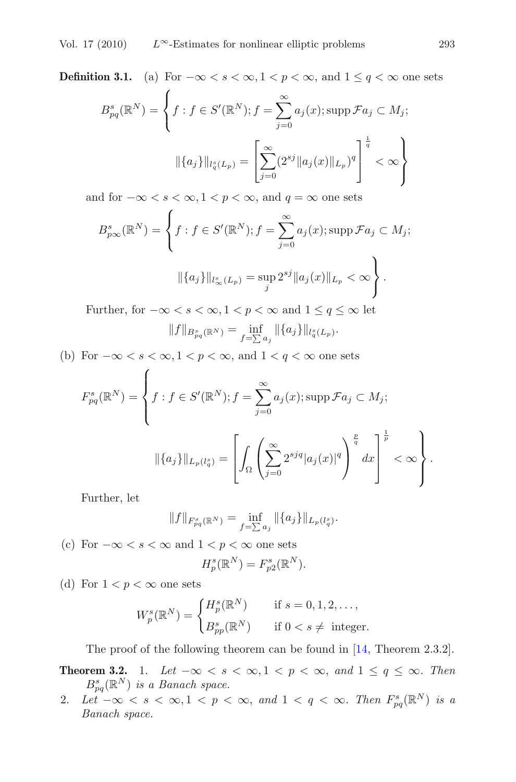**Definition 3.1.** (a) For  $-\infty < s < \infty$ ,  $1 < p < \infty$ , and  $1 \le q < \infty$  one sets

$$
B_{pq}^{s}(\mathbb{R}^{N}) = \left\{ f : f \in S'(\mathbb{R}^{N}) ; f = \sum_{j=0}^{\infty} a_{j}(x) ; \operatorname{supp} \mathcal{F}a_{j} \subset M_{j};
$$

$$
\|\{a_{j}\}\|_{l_{q}^{s}(L_{p})} = \left[\sum_{j=0}^{\infty} (2^{sj} \|a_{j}(x)\|_{L_{p}})^{q}\right]^{\frac{1}{q}} < \infty \right\}
$$

and for  $-\infty < s < \infty, 1 < p < \infty$ , and  $q = \infty$  one sets

$$
B_{p\infty}^{s}(\mathbb{R}^{N}) = \left\{ f : f \in S'(\mathbb{R}^{N}) ; f = \sum_{j=0}^{\infty} a_{j}(x) ; \operatorname{supp} \mathcal{F}a_{j} \subset M_{j}; \right\}
$$

$$
\|\{a_{j}\}\|_{l^{s}_{\infty}(L_{p})} = \sup_{j} 2^{sj} \|a_{j}(x)\|_{L_{p}} < \infty \right\}.
$$
  
Further, for  $-\infty < s < \infty, 1 < p < \infty$  and  $1 \le q \le \infty$  let

$$
\|f\|_{B^{s}_{pq}(\mathbb{R}^{N})}=\inf_{f=\sum a_{j}}\|\{a_{j}\}\|_{l_{q}^{s}(L_{p})}.
$$

(b) For  $-\infty < s < \infty$ ,  $1 < p < \infty$ , and  $1 < q < \infty$  one sets

$$
F_{pq}^{s}(\mathbb{R}^{N}) = \left\{ f : f \in S'(\mathbb{R}^{N}) ; f = \sum_{j=0}^{\infty} a_{j}(x) ; \operatorname{supp} \mathcal{F}a_{j} \subset M_{j};
$$

$$
||\{a_{j}\}||_{L_{p}(l_{q}^{s})} = \left[ \int_{\Omega} \left( \sum_{j=0}^{\infty} 2^{sjq} |a_{j}(x)|^{q} \right)^{\frac{p}{q}} dx \right]^{1 \over p} < \infty \right\}.
$$

Further, let

$$
||f||_{F_{pq}^{s}(\mathbb{R}^{N})} = \inf_{f=\sum a_{j}} ||\{a_{j}\}||_{L_{p}(l_{q}^{s})}.
$$

(c) For  $-\infty < s < \infty$  and  $1 < p < \infty$  one sets

$$
H_p^s(\mathbb{R}^N) = F_{p2}^s(\mathbb{R}^N).
$$

(d) For  $1 < p < \infty$  one sets

$$
W_p^s(\mathbb{R}^N) = \begin{cases} H_p^s(\mathbb{R}^N) & \text{if } s = 0, 1, 2, \dots, \\ B_{pp}^s(\mathbb{R}^N) & \text{if } 0 < s \neq \text{ integer.} \end{cases}
$$

The proof of the following theorem can be found in [\[14](#page-13-5), Theorem 2.3.2].

## **Theorem 3.2.** 1. *Let*  $-\infty < s < \infty, 1 < p < \infty$ , and  $1 \leq q \leq \infty$ . *Then*  $B^s_{pq}(\mathbb{R}^N)$  *is a Banach space.*

2. *Let*  $-\infty < s < \infty, 1 < p < \infty$ , and  $1 < q < \infty$ . Then  $F_{pq}^s(\mathbb{R}^N)$  is a *Banach space.*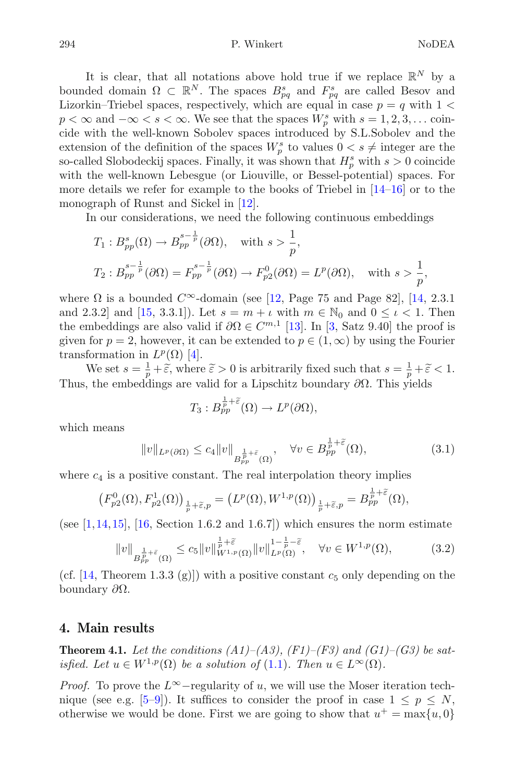294 P. Winkert NoDEA

It is clear, that all notations above hold true if we replace  $\mathbb{R}^N$  by a bounded domain  $\Omega \subset \mathbb{R}^N$ . The spaces  $B_{pq}^s$  and  $F_{pq}^s$  are called Besov and Lizorkin–Triebel spaces, respectively, which are equal in case  $p = q$  with  $1 <$  $p < \infty$  and  $-\infty < s < \infty$ . We see that the spaces  $W_p^s$  with  $s = 1, 2, 3, \dots$  coincide with the well-known Sobolev spaces introduced by S.L.Sobolev and the extension of the definition of the spaces  $W_p^s$  to values  $0 < s \neq$  integer are the so-called Slobodeckij spaces. Finally, it was shown that  $H_p^s$  with  $s > 0$  coincide with the well-known Lebesgue (or Liouville, or Bessel-potential) spaces. For more details we refer for example to the books of Triebel in [\[14](#page-13-5)[–16](#page-13-6)] or to the monograph of Runst and Sickel in [\[12](#page-13-7)].

In our considerations, we need the following continuous embeddings

$$
T_1: B_{pp}^s(\Omega) \to B_{pp}^{s-\frac{1}{p}}(\partial \Omega), \text{ with } s > \frac{1}{p},
$$
  
\n
$$
T_2: B_{pp}^{s-\frac{1}{p}}(\partial \Omega) = F_{pp}^{s-\frac{1}{p}}(\partial \Omega) \to F_{p2}^0(\partial \Omega) = L^p(\partial \Omega), \text{ with } s > \frac{1}{p},
$$

where  $\Omega$  is a bounded  $C^{\infty}$ -domain (see [\[12](#page-13-7), Page 75 and Page 82], [\[14,](#page-13-5) 2.3.1] and 2.3.2] and [\[15,](#page-13-8) 3.3.1]). Let  $s = m + \iota$  with  $m \in \mathbb{N}_0$  and  $0 \leq \iota < 1$ . Then the embeddings are also valid if  $\partial\Omega \in C^{m,1}$  [\[13\]](#page-13-9). In [\[3](#page-12-0), Satz 9.40] the proof is given for  $p = 2$ , however, it can be extended to  $p \in (1,\infty)$  by using the Fourier transformation in  $L^p(\Omega)$  [\[4](#page-12-1)].

We set  $s = \frac{1}{p} + \tilde{\epsilon}$ , where  $\tilde{\epsilon} > 0$  is arbitrarily fixed such that  $s = \frac{1}{p} + \tilde{\epsilon} < 1$ . Thus, the embeddings are valid for a Lipschitz boundary  $\partial\Omega$ . This yields

$$
T_3: B_{pp}^{\frac{1}{p}+\widetilde{\varepsilon}}(\Omega) \to L^p(\partial\Omega),
$$

<span id="page-5-1"></span>which means

$$
||v||_{L^{p}(\partial\Omega)} \leq c_4 ||v||_{B_{pp}^{\frac{1}{p}+\tilde{\varepsilon}}(\Omega)}, \quad \forall v \in B_{pp}^{\frac{1}{p}+\tilde{\varepsilon}}(\Omega), \tag{3.1}
$$

where  $c_4$  is a positive constant. The real interpolation theory implies

$$
\left(F_{p2}^0(\Omega), F_{p2}^1(\Omega)\right)_{\frac{1}{p}+\widetilde{\varepsilon},p} = \left(L^p(\Omega), W^{1,p}(\Omega)\right)_{\frac{1}{p}+\widetilde{\varepsilon},p} = B_{pp}^{\frac{1}{p}+\widetilde{\varepsilon}}(\Omega),
$$

<span id="page-5-2"></span>(see  $[1,14,15]$  $[1,14,15]$  $[1,14,15]$  $[1,14,15]$ ,  $[16, Section 1.6.2 and 1.6.7]$  $[16, Section 1.6.2 and 1.6.7]$ ) which ensures the norm estimate

$$
||v||_{B_{pp}^{\frac{1}{p}+\tilde{\varepsilon}}(\Omega)} \leq c_5 ||v||_{W^{1,p}(\Omega)}^{\frac{1}{p}+\tilde{\varepsilon}} ||v||_{L^p(\Omega)}^{1-\frac{1}{p}-\tilde{\varepsilon}}, \quad \forall v \in W^{1,p}(\Omega), \tag{3.2}
$$

(cf. [\[14](#page-13-5), Theorem 1.3.3 (g)]) with a positive constant  $c_5$  only depending on the boundary ∂Ω.

### <span id="page-5-0"></span>**4. Main results**

**Theorem 4.1.** *Let the conditions (A1)–(A3), (F1)–(F3) and (G1)–(G3) be satisfied.* Let  $u \in W^{1,p}(\Omega)$  be a solution of [\(1.1\)](#page-0-0). Then  $u \in L^{\infty}(\Omega)$ *.* 

*Proof.* To prove the  $L^{\infty}$ -regularity of u, we will use the Moser iteration tech-nique (see e.g. [\[5](#page-12-3)[–9\]](#page-13-10)). It suffices to consider the proof in case  $1 \leq p \leq N$ , otherwise we would be done. First we are going to show that  $u^+ = \max\{u, 0\}$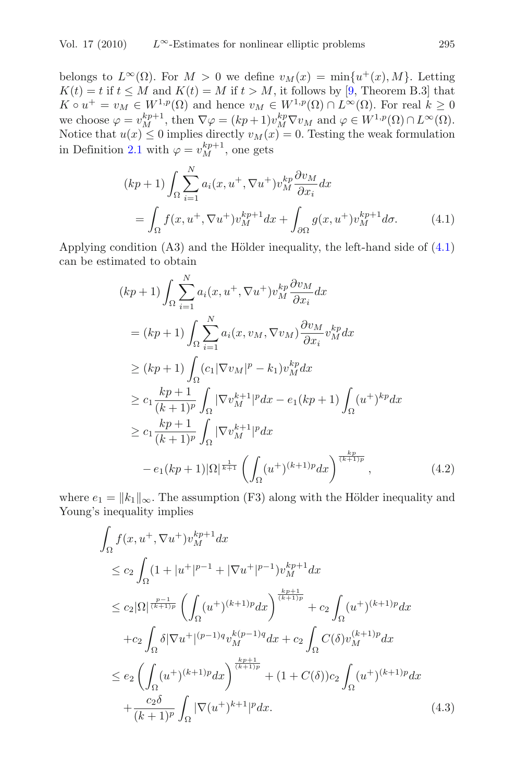belongs to  $L^{\infty}(\Omega)$ . For  $M > 0$  we define  $v_M(x) = \min\{u^+(x), M\}$ . Letting  $K(t) = t$  if  $t \leq M$  and  $K(t) = M$  if  $t > M$ , it follows by [\[9,](#page-13-10) Theorem B.3] that  $K \circ u^+ = v_M \in W^{1,p}(\Omega)$  and hence  $v_M \in W^{1,p}(\Omega) \cap L^{\infty}(\Omega)$ . For real  $k \geq 0$ we choose  $\varphi = v_M^{kp+1}$ , then  $\nabla \varphi = (kp+1)v_M^{kp} \nabla v_M$  and  $\varphi \in W^{1,p}(\Omega) \cap L^{\infty}(\Omega)$ . Notice that  $u(x) \leq 0$  implies directly  $v_M(x) = 0$ . Testing the weak formulation in Definition [2.1](#page-3-0) with  $\varphi = v_M^{kp+1}$ , one gets

$$
(kp+1)\int_{\Omega} \sum_{i=1}^{N} a_i(x, u^+, \nabla u^+) v_M^{kp} \frac{\partial v_M}{\partial x_i} dx
$$
  
= 
$$
\int_{\Omega} f(x, u^+, \nabla u^+) v_M^{kp+1} dx + \int_{\partial \Omega} g(x, u^+) v_M^{kp+1} d\sigma.
$$
 (4.1)

<span id="page-6-1"></span><span id="page-6-0"></span>Applying condition  $(A3)$  and the Hölder inequality, the left-hand side of  $(4.1)$ can be estimated to obtain

$$
(kp+1) \int_{\Omega} \sum_{i=1}^{N} a_i (x, u^+, \nabla u^+) v_M^{kp} \frac{\partial v_M}{\partial x_i} dx
$$
  
\n
$$
= (kp+1) \int_{\Omega} \sum_{i=1}^{N} a_i (x, v_M, \nabla v_M) \frac{\partial v_M}{\partial x_i} v_M^{kp} dx
$$
  
\n
$$
\geq (kp+1) \int_{\Omega} (c_1 |\nabla v_M|^p - k_1) v_M^{kp} dx
$$
  
\n
$$
\geq c_1 \frac{kp+1}{(k+1)^p} \int_{\Omega} |\nabla v_M^{k+1}|^p dx - e_1 (kp+1) \int_{\Omega} (u^+)^{kp} dx
$$
  
\n
$$
\geq c_1 \frac{kp+1}{(k+1)^p} \int_{\Omega} |\nabla v_M^{k+1}|^p dx
$$
  
\n
$$
-e_1 (kp+1) |\Omega|^{\frac{1}{k+1}} \left( \int_{\Omega} (u^+)^{(k+1)p} dx \right)^{\frac{kp}{(k+1)p}}, \qquad (4.2)
$$

where  $e_1 = ||k_1||_{\infty}$ . The assumption (F3) along with the Hölder inequality and Young's inequality implies

$$
\int_{\Omega} f(x, u^{+}, \nabla u^{+}) v_{M}^{kp+1} dx
$$
\n
$$
\leq c_{2} \int_{\Omega} (1 + |u^{+}|^{p-1} + |\nabla u^{+}|^{p-1}) v_{M}^{kp+1} dx
$$
\n
$$
\leq c_{2} |\Omega| \frac{v-1}{(k+1)p} \left( \int_{\Omega} (u^{+})^{(k+1)p} dx \right)^{\frac{kp+1}{(k+1)p}} + c_{2} \int_{\Omega} (u^{+})^{(k+1)p} dx
$$
\n
$$
+ c_{2} \int_{\Omega} \delta |\nabla u^{+}|^{(p-1)q} v_{M}^{k(p-1)q} dx + c_{2} \int_{\Omega} C(\delta) v_{M}^{(k+1)p} dx
$$
\n
$$
\leq e_{2} \left( \int_{\Omega} (u^{+})^{(k+1)p} dx \right)^{\frac{kp+1}{(k+1)p}} + (1 + C(\delta)) c_{2} \int_{\Omega} (u^{+})^{(k+1)p} dx
$$
\n
$$
+ \frac{c_{2} \delta}{(k+1)^{p}} \int_{\Omega} |\nabla (u^{+})^{k+1}|^{p} dx. \tag{4.3}
$$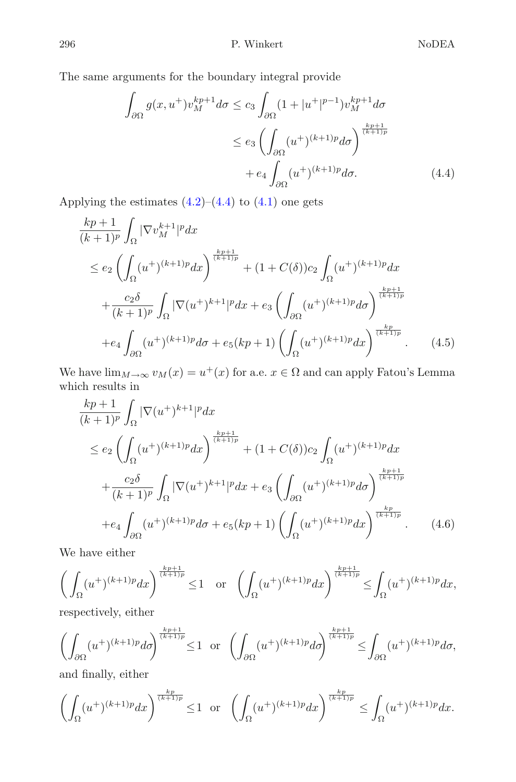<span id="page-7-0"></span>The same arguments for the boundary integral provide

$$
\int_{\partial\Omega} g(x, u^+) v_M^{kp+1} d\sigma \le c_3 \int_{\partial\Omega} (1 + |u^+|^{p-1}) v_M^{kp+1} d\sigma
$$
\n
$$
\le e_3 \left( \int_{\partial\Omega} (u^+)^{(k+1)p} d\sigma \right)^{\frac{kp+1}{(k+1)p}}
$$
\n
$$
+ e_4 \int_{\partial\Omega} (u^+)^{(k+1)p} d\sigma. \tag{4.4}
$$

Applying the estimates  $(4.2)$ – $(4.4)$  to  $(4.1)$  one gets

$$
\frac{kp+1}{(k+1)^p} \int_{\Omega} |\nabla v_M^{k+1}|^p dx
$$
\n
$$
\leq e_2 \left( \int_{\Omega} (u^+)^{(k+1)p} dx \right)^{\frac{kp+1}{(k+1)p}} + (1 + C(\delta))c_2 \int_{\Omega} (u^+)^{(k+1)p} dx
$$
\n
$$
+ \frac{c_2 \delta}{(k+1)^p} \int_{\Omega} |\nabla (u^+)^{k+1}|^p dx + e_3 \left( \int_{\partial \Omega} (u^+)^{(k+1)p} d\sigma \right)^{\frac{kp+1}{(k+1)p}}
$$
\n
$$
+ e_4 \int_{\partial \Omega} (u^+)^{(k+1)p} d\sigma + e_5 (kp+1) \left( \int_{\Omega} (u^+)^{(k+1)p} dx \right)^{\frac{kp}{(k+1)p}}.
$$
\n(4.5)

<span id="page-7-1"></span>We have  $\lim_{M\to\infty}v_M(x)=u^+(x)$  for a.e.  $x\in\Omega$  and can apply Fatou's Lemma which results in

$$
\frac{kp+1}{(k+1)^p} \int_{\Omega} |\nabla(u^+)^{k+1}|^p dx
$$
\n
$$
\leq e_2 \left( \int_{\Omega} (u^+)^{(k+1)p} dx \right)^{\frac{kp+1}{(k+1)p}} + (1 + C(\delta)) c_2 \int_{\Omega} (u^+)^{(k+1)p} dx
$$
\n
$$
+ \frac{c_2 \delta}{(k+1)^p} \int_{\Omega} |\nabla(u^+)^{k+1}|^p dx + e_3 \left( \int_{\partial \Omega} (u^+)^{(k+1)p} d\sigma \right)^{\frac{kp+1}{(k+1)p}}
$$
\n
$$
+ e_4 \int_{\partial \Omega} (u^+)^{(k+1)p} d\sigma + e_5 (kp+1) \left( \int_{\Omega} (u^+)^{(k+1)p} dx \right)^{\frac{kp}{(k+1)p}}.
$$
\n(4.6)

We have either

$$
\left(\int_{\Omega} (u^+)^{(k+1)p} dx\right)^{\frac{kp+1}{(k+1)p}} \le 1 \quad \text{or} \quad \left(\int_{\Omega} (u^+)^{(k+1)p} dx\right)^{\frac{kp+1}{(k+1)p}} \le \int_{\Omega} (u^+)^{(k+1)p} dx,
$$

respectively, either

$$
\left(\int_{\partial\Omega}(u^{+})^{(k+1)p}d\sigma\right)^{\frac{kp+1}{(k+1)p}}\leq 1\;\;\text{or}\;\;\left(\int_{\partial\Omega}(u^{+})^{(k+1)p}d\sigma\right)^{\frac{kp+1}{(k+1)p}}\leq \int_{\partial\Omega}(u^{+})^{(k+1)p}d\sigma,
$$

and finally, either

$$
\left(\int_{\Omega} (u^+)^{(k+1)p} dx\right)^{\frac{kp}{(k+1)p}} \leq 1 \quad \text{or} \quad \left(\int_{\Omega} (u^+)^{(k+1)p} dx\right)^{\frac{kp}{(k+1)p}} \leq \int_{\Omega} (u^+)^{(k+1)p} dx.
$$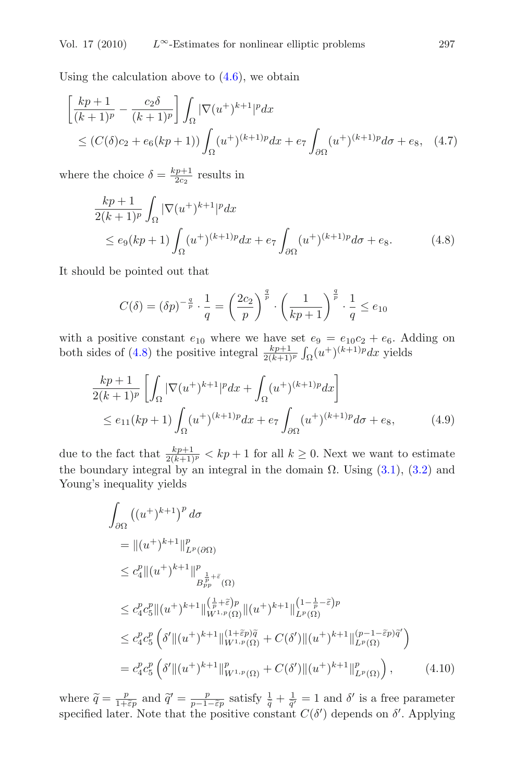Using the calculation above to  $(4.6)$ , we obtain

$$
\begin{aligned} &\left[\frac{kp+1}{(k+1)^p} - \frac{c_2\delta}{(k+1)^p}\right] \int_{\Omega} |\nabla(u^+)^{k+1}|^p dx \\ &\le (C(\delta)c_2 + e_6(kp+1)) \int_{\Omega} (u^+)^{(k+1)p} dx + e_7 \int_{\partial\Omega} (u^+)^{(k+1)p} d\sigma + e_8, \quad (4.7) \end{aligned}
$$

<span id="page-8-0"></span>where the choice  $\delta = \frac{kp+1}{2c_2}$  results in

$$
\frac{kp+1}{2(k+1)^p} \int_{\Omega} |\nabla(u^+)^{k+1}|^p dx
$$
  
\n
$$
\leq e_9(kp+1) \int_{\Omega} (u^+)^{(k+1)p} dx + e_7 \int_{\partial\Omega} (u^+)^{(k+1)p} d\sigma + e_8.
$$
\n(4.8)

It should be pointed out that

$$
C(\delta) = (\delta p)^{-\frac{q}{p}} \cdot \frac{1}{q} = \left(\frac{2c_2}{p}\right)^{\frac{q}{p}} \cdot \left(\frac{1}{kp+1}\right)^{\frac{q}{p}} \cdot \frac{1}{q} \le e_{10}
$$

<span id="page-8-2"></span>with a positive constant  $e_{10}$  where we have set  $e_9 = e_{10}c_2 + e_6$ . Adding on both sides of [\(4.8\)](#page-8-0) the positive integral  $\frac{kp+1}{2(k+1)^p} \int_{\Omega} (u^+)^{(k+1)p} dx$  yields

$$
\frac{kp+1}{2(k+1)^p} \left[ \int_{\Omega} |\nabla(u^+)^{k+1}|^p dx + \int_{\Omega} (u^+)^{(k+1)p} dx \right] \le e_{11}(kp+1) \int_{\Omega} (u^+)^{(k+1)p} dx + e_7 \int_{\partial \Omega} (u^+)^{(k+1)p} d\sigma + e_8, \tag{4.9}
$$

<span id="page-8-1"></span>due to the fact that  $\frac{kp+1}{2(k+1)^p} < kp+1$  for all  $k \geq 0$ . Next we want to estimate the boundary integral by an integral in the domain  $\Omega$ . Using [\(3.1\)](#page-5-1), [\(3.2\)](#page-5-2) and Young's inequality yields

$$
\int_{\partial\Omega} \left( (u^{+})^{k+1} \right)^{p} d\sigma
$$
\n
$$
= \left\| (u^{+})^{k+1} \right\|_{L^{p}(\partial\Omega)}^{p}
$$
\n
$$
\leq c_{4}^{p} \left\| (u^{+})^{k+1} \right\|_{B_{pp}^{\frac{1}{p}+\tilde{\varepsilon}}(\Omega)}^{p}
$$
\n
$$
\leq c_{4}^{p} c_{5}^{p} \left\| (u^{+})^{k+1} \right\|_{W^{1,p}(\Omega)}^{\left(\frac{1}{p}+\tilde{\varepsilon}\right)p} \left\| (u^{+})^{k+1} \right\|_{L^{p}(\Omega)}^{\left(1-\frac{1}{p}-\tilde{\varepsilon}\right)p}
$$
\n
$$
\leq c_{4}^{p} c_{5}^{p} \left( \delta' \left\| (u^{+})^{k+1} \right\|_{W^{1,p}(\Omega)}^{\left(1+\tilde{\varepsilon}p\right)\tilde{q}} + C(\delta') \left\| (u^{+})^{k+1} \right\|_{L^{p}(\Omega)}^{\left( p-1-\tilde{\varepsilon}p\right)\tilde{q}} \right)
$$
\n
$$
= c_{4}^{p} c_{5}^{p} \left( \delta' \left\| (u^{+})^{k+1} \right\|_{W^{1,p}(\Omega)}^{p} + C(\delta') \left\| (u^{+})^{k+1} \right\|_{L^{p}(\Omega)}^{p} \right), \tag{4.10}
$$

where  $\tilde{q} = \frac{p}{1+\tilde{\epsilon}p}$  and  $\tilde{q}' = \frac{p}{p-1-\tilde{\epsilon}p}$  satisfy  $\frac{1}{\tilde{q}} + \frac{1}{\tilde{q}'} = 1$  and  $\delta'$  is a free parameter specified later. Note that the positive constant  $C(\delta')$  depends on  $\delta'$ . Applying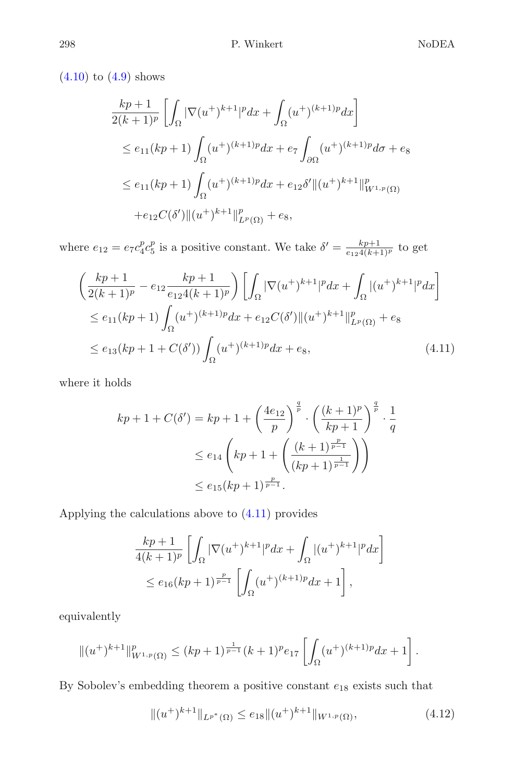$(4.10)$  to  $(4.9)$  shows

$$
\frac{kp+1}{2(k+1)^p} \left[ \int_{\Omega} |\nabla(u^+)^{k+1}|^p dx + \int_{\Omega} (u^+)^{(k+1)p} dx \right]
$$
  
\n
$$
\leq e_{11}(kp+1) \int_{\Omega} (u^+)^{(k+1)p} dx + e_7 \int_{\partial \Omega} (u^+)^{(k+1)p} d\sigma + e_8
$$
  
\n
$$
\leq e_{11}(kp+1) \int_{\Omega} (u^+)^{(k+1)p} dx + e_{12}\delta' ||(u^+)^{k+1}||^p_{W^{1,p}(\Omega)}
$$
  
\n
$$
+ e_{12}C(\delta') ||(u^+)^{k+1}||^p_{L^p(\Omega)} + e_8,
$$

<span id="page-9-0"></span>where  $e_{12} = e_7 c_4^p c_5^p$  is a positive constant. We take  $\delta' = \frac{k p + 1}{e_{12} 4(k+1)^p}$  to get

$$
\left(\frac{kp+1}{2(k+1)^p} - e_{12}\frac{kp+1}{e_{12}4(k+1)^p}\right) \left[\int_{\Omega} |\nabla(u^+)^{k+1}|^p dx + \int_{\Omega} |(u^+)^{k+1}|^p dx\right]
$$
  
\n
$$
\leq e_{11}(kp+1) \int_{\Omega} (u^+)^{(k+1)p} dx + e_{12}C(\delta') ||(u^+)^{k+1}||^p_{L^p(\Omega)} + e_8
$$
  
\n
$$
\leq e_{13}(kp+1+C(\delta')) \int_{\Omega} (u^+)^{(k+1)p} dx + e_8,
$$
\n(4.11)

where it holds

$$
kp + 1 + C(\delta') = kp + 1 + \left(\frac{4e_{12}}{p}\right)^{\frac{q}{p}} \cdot \left(\frac{(k+1)^p}{kp+1}\right)^{\frac{q}{p}} \cdot \frac{1}{q}
$$
  

$$
\leq e_{14} \left(kp + 1 + \left(\frac{(k+1)^{\frac{p}{p-1}}}{(kp+1)^{\frac{1}{p-1}}}\right)\right)
$$
  

$$
\leq e_{15}(kp+1)^{\frac{p}{p-1}}.
$$

Applying the calculations above to [\(4.11\)](#page-9-0) provides

$$
\frac{kp+1}{4(k+1)^p} \left[ \int_{\Omega} |\nabla(u^+)^{k+1}|^p dx + \int_{\Omega} |(u^+)^{k+1}|^p dx \right]
$$
  

$$
\leq e_{16}(kp+1)^{\frac{p}{p-1}} \left[ \int_{\Omega} (u^+)^{(k+1)p} dx + 1 \right],
$$

equivalently

$$
\|(u^+)^{k+1}\|_{W^{1,p}(\Omega)}^p \le (kp+1)^{\frac{1}{p-1}}(k+1)^p e_{17} \left[ \int_{\Omega} (u^+)^{(k+1)p} dx + 1 \right].
$$

By Sobolev's embedding theorem a positive constant  $e_{18}$  exists such that

$$
||(u^+)^{k+1}||_{L^{p^*}(\Omega)} \le e_{18}||(u^+)^{k+1}||_{W^{1,p}(\Omega)},
$$
\n(4.12)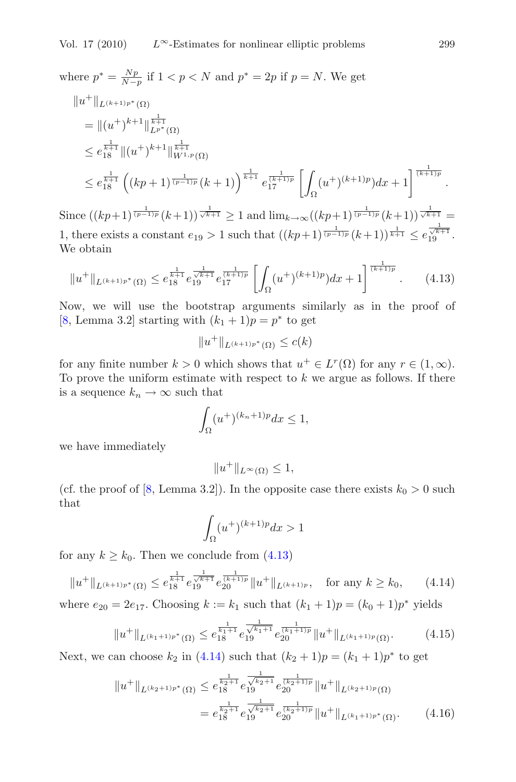where  $p^* = \frac{Np}{N-p}$  if  $1 < p < N$  and  $p^* = 2p$  if  $p = N$ . We get

$$
||u^+||_{L^{(k+1)p^*}(\Omega)}
$$
  
\n
$$
= ||(u^+)^{k+1}||_{L^{p^*}(\Omega)}
$$
  
\n
$$
\leq e_{18}^{\frac{1}{k+1}} ||(u^+)^{k+1}||_{W^{1,p}(\Omega)}^{\frac{1}{k+1}}
$$
  
\n
$$
\leq e_{18}^{\frac{1}{k+1}} ((kp+1)^{\frac{1}{(p-1)p}}(k+1))^{\frac{1}{k+1}} e_{17}^{\frac{1}{(k+1)p}} \left[ \int_{\Omega} (u^+)^{(k+1)p} dx + 1 \right]^{\frac{1}{(k+1)p}}.
$$

Since  $((kp+1)^{\frac{1}{(p-1)p}}(k+1))^{\frac{1}{\sqrt{k+1}}} \geq 1$  and  $\lim_{k\to\infty} ((kp+1)^{\frac{1}{(p-1)p}}(k+1))^{\frac{1}{\sqrt{k+1}}}$ 1, there exists a constant  $e_{19} > 1$  such that  $((kp+1)^{\frac{1}{(p-1)p}}(k+1))^{\frac{1}{k+1}} \leq e_{19}^{\frac{1}{\sqrt{k+1}}}$ . We obtain

$$
||u^+||_{L^{(k+1)p^*}(\Omega)} \le e_{18}^{\frac{1}{k+1}} e_{19}^{\frac{1}{\sqrt{k+1}}} e_{17}^{\frac{1}{(k+1)p}} \left[ \int_{\Omega} (u^+)^{(k+1)p} dx + 1 \right]^{\frac{1}{(k+1)p}}.
$$
 (4.13)

<span id="page-10-0"></span>Now, we will use the bootstrap arguments similarly as in the proof of [\[8](#page-13-11), Lemma 3.2] starting with  $(k_1 + 1)p = p^*$  to get

$$
||u^+||_{L^{(k+1)p^*}(\Omega)} \le c(k)
$$

for any finite number  $k > 0$  which shows that  $u^+ \in L^r(\Omega)$  for any  $r \in (1,\infty)$ . To prove the uniform estimate with respect to  $k$  we argue as follows. If there is a sequence  $k_n \to \infty$  such that

$$
\int_{\Omega} (u^{+})^{(k_{n}+1)p} dx \le 1,
$$

we have immediately

$$
||u^+||_{L^{\infty}(\Omega)} \le 1,
$$

(cf. the proof of [\[8](#page-13-11), Lemma 3.2]). In the opposite case there exists  $k_0 > 0$  such that

$$
\int_{\Omega} (u^{+})^{(k+1)p} dx > 1
$$

for any  $k \geq k_0$ . Then we conclude from [\(4.13\)](#page-10-0)

$$
||u^+||_{L^{(k+1)p^*}(\Omega)} \le e^{\frac{1}{k+1}}_{13} e^{\frac{1}{\sqrt{k+1}}} e^{\frac{1}{(k+1)p}}_{20} ||u^+||_{L^{(k+1)p}}, \quad \text{for any } k \ge k_0,
$$
 (4.14)

<span id="page-10-1"></span>where  $e_{20} = 2e_{17}$ . Choosing  $k := k_1$  such that  $(k_1 + 1)p = (k_0 + 1)p^*$  yields

$$
||u^+||_{L^{(k_1+1)p^*}(\Omega)} \le e^{\frac{1}{k_1+1}} e^{\frac{1}{\sqrt{k_1+1}}} e^{\frac{1}{(k_1+1)p}} 20} ||u^+||_{L^{(k_1+1)p}(\Omega)}.
$$
 (4.15)

Next, we can choose  $k_2$  in [\(4.14\)](#page-10-1) such that  $(k_2 + 1)p = (k_1 + 1)p^*$  to get

$$
||u^+||_{L^{(k_2+1)p^*}(\Omega)} \le e^{\frac{1}{k_2+1}} e^{\frac{1}{\sqrt{k_2+1}}}_{19} e^{\frac{1}{(k_2+1)p}}_{9} ||u^+||_{L^{(k_2+1)p}(\Omega)}
$$
  
=  $e^{\frac{1}{k_2+1}}_{19} e^{\frac{1}{\sqrt{k_2+1}}}_{19} e^{\frac{1}{(k_2+1)p}}_{20} ||u^+||_{L^{(k_1+1)p^*}(\Omega)}.$  (4.16)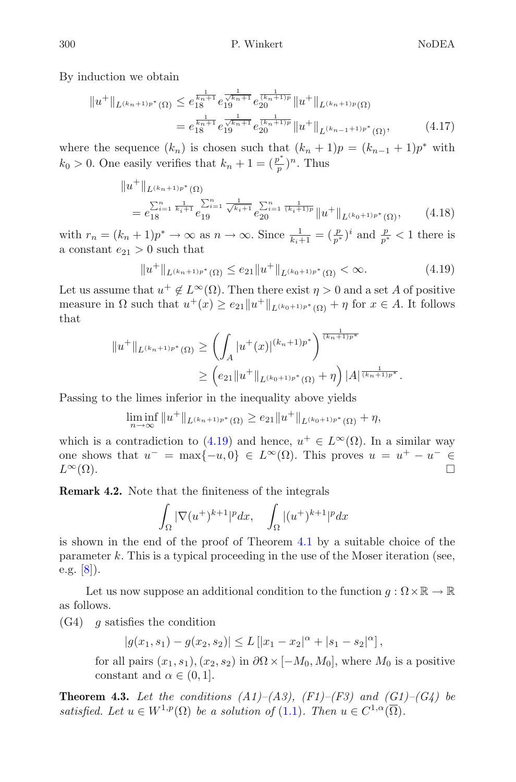By induction we obtain

$$
||u^+||_{L^{(k_n+1)p^*}(\Omega)} \leq e^{\frac{1}{k_n+1}}_{18} e^{\frac{1}{\sqrt{k_n+1}}} e^{\frac{1}{(k_n+1)p}}_{20} ||u^+||_{L^{(k_n+1)p}(\Omega)}
$$
  
=  $e^{\frac{1}{k_n+1}}_{18} e^{\frac{1}{\sqrt{k_n+1}}} e^{\frac{1}{(k_n+1)p}}_{20} ||u^+||_{L^{(k_{n-1}+1)p^*}(\Omega)},$  (4.17)

where the sequence  $(k_n)$  is chosen such that  $(k_n + 1)p = (k_{n-1} + 1)p^*$  with  $k_0 > 0$ . One easily verifies that  $k_n + 1 = (\frac{p^*}{p})^n$ . Thus

$$
||u^+||_{L^{(k_n+1)p^*}(\Omega)}
$$
  
=  $e_{18}^{\sum_{i=1}^n \frac{1}{k_i+1}} e_{19}^{\sum_{i=1}^n \frac{1}{\sqrt{k_i+1}}} e_{20}^{\sum_{i=1}^n \frac{1}{(k_i+1)p}} ||u^+||_{L^{(k_0+1)p^*}(\Omega)},$  (4.18)

with  $r_n = (k_n + 1)p^* \to \infty$  as  $n \to \infty$ . Since  $\frac{1}{k_i+1} = (\frac{p}{p^*})^i$  and  $\frac{p}{p^*} < 1$  there is a constant  $e_{21} > 0$  such that

$$
||u^+||_{L^{(k_n+1)p^*}(\Omega)} \le e_{21}||u^+||_{L^{(k_0+1)p^*}(\Omega)} < \infty.
$$
\n(4.19)

<span id="page-11-0"></span>Let us assume that  $u^+ \notin L^{\infty}(\Omega)$ . Then there exist  $\eta > 0$  and a set A of positive measure in  $\Omega$  such that  $u^+(x) \ge e_{21} ||u^+||_{L^{(k_0+1)p^*}(\Omega)} + \eta$  for  $x \in A$ . It follows that

$$
||u^+||_{L^{(k_n+1)p^*}(\Omega)} \ge \left(\int_A |u^+(x)|^{(k_n+1)p^*}\right)^{\frac{1}{(k_n+1)p^*}} \ge \left(e_{21}||u^+||_{L^{(k_0+1)p^*}(\Omega)} + \eta\right)|A|^{\frac{1}{(k_n+1)p^*}}.
$$

Passing to the limes inferior in the inequality above yields

$$
\liminf_{n \to \infty} ||u^+||_{L^{(k_n+1)p^*}(\Omega)} \ge e_{21} ||u^+||_{L^{(k_0+1)p^*}(\Omega)} + \eta,
$$

which is a contradiction to [\(4.19\)](#page-11-0) and hence,  $u^+ \in L^{\infty}(\Omega)$ . In a similar way one shows that  $u^- = \max\{-u, 0\} \in L^{\infty}(\Omega)$ . This proves  $u = u^+ - u^- \in$  $L^{\infty}(\Omega)$ .

**Remark 4.2.** Note that the finiteness of the integrals

$$
\int_{\Omega} |\nabla(u^+)^{k+1}|^p dx, \quad \int_{\Omega} |(u^+)^{k+1}|^p dx
$$

is shown in the end of the proof of Theorem [4.1](#page-5-0) by a suitable choice of the parameter  $k$ . This is a typical proceeding in the use of the Moser iteration (see, e.g. [\[8](#page-13-11)]).

Let us now suppose an additional condition to the function  $g: \Omega \times \mathbb{R} \to \mathbb{R}$ as follows.

 $(G4)$  g satisfies the condition

$$
|g(x_1, s_1) - g(x_2, s_2)| \le L [|x_1 - x_2|^{\alpha} + |s_1 - s_2|^{\alpha}],
$$
  
all pairs  $(x_1, s_1)$   $(x_2, s_2)$  in  $\partial \Omega \times [-M, M_1]$  where M

for all pairs  $(x_1, s_1), (x_2, s_2)$  in  $\partial\Omega \times [-M_0, M_0],$  where  $M_0$  is a positive constant and  $\alpha \in (0,1]$ .

<span id="page-11-1"></span>**Theorem 4.3.** Let the conditions  $(A1)$ – $(A3)$ ,  $(F1)$ – $(F3)$  and  $(G1)$ – $(G4)$  be *satisfied.* Let  $u \in W^{1,p}(\Omega)$  *be a solution of* [\(1.1\)](#page-0-0). Then  $u \in C^{1,\alpha}(\overline{\Omega})$ .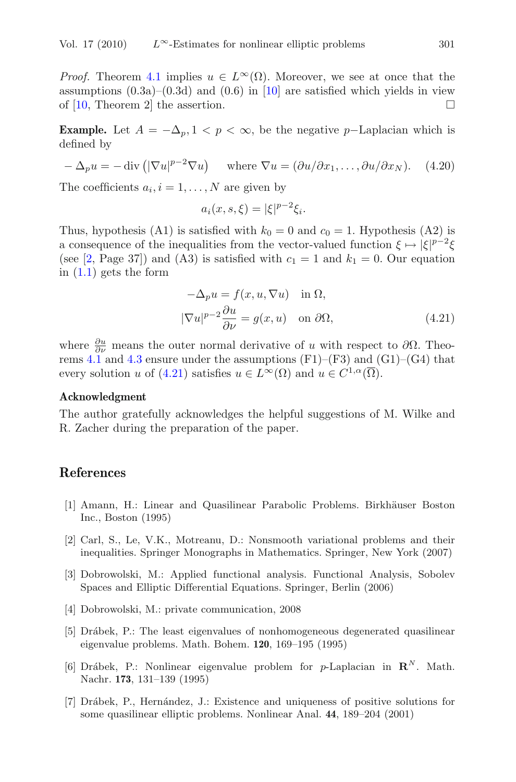*Proof.* Theorem [4.1](#page-5-0) implies  $u \in L^{\infty}(\Omega)$ . Moreover, we see at once that the assumptions  $(0.3a)-(0.3d)$  and  $(0.6)$  in [\[10](#page-13-3)] are satisfied which yields in view of  $[10,$  Theorem 2 the assertion.  $\Box$ 

**Example.** Let  $A = -\Delta_p, 1 \leq p \leq \infty$ , be the negative p–Laplacian which is defined by

$$
-\Delta_p u = -\operatorname{div}\left(|\nabla u|^{p-2} \nabla u\right) \quad \text{where } \nabla u = (\partial u/\partial x_1, \dots, \partial u/\partial x_N). \quad (4.20)
$$

The coefficients  $a_i, i = 1, \ldots, N$  are given by

$$
a_i(x, s, \xi) = |\xi|^{p-2} \xi_i.
$$

Thus, hypothesis (A1) is satisfied with  $k_0 = 0$  and  $c_0 = 1$ . Hypothesis (A2) is a consequence of the inequalities from the vector-valued function  $\xi \mapsto |\xi|^{p-2}\xi$ (see [\[2](#page-12-4), Page 37]) and (A3) is satisfied with  $c_1 = 1$  and  $k_1 = 0$ . Our equation in  $(1.1)$  gets the form

$$
-\Delta_p u = f(x, u, \nabla u) \quad \text{in } \Omega,
$$
  

$$
|\nabla u|^{p-2} \frac{\partial u}{\partial \nu} = g(x, u) \quad \text{on } \partial \Omega,
$$
 (4.21)

<span id="page-12-5"></span>where  $\frac{\partial u}{\partial \nu}$  means the outer normal derivative of u with respect to  $\partial \Omega$ . Theo-rems [4.1](#page-5-0) and [4.3](#page-11-1) ensure under the assumptions  $(F1)$ – $(F3)$  and  $(G1)$ – $(G4)$  that every solution u of [\(4.21\)](#page-12-5) satisfies  $u \in L^{\infty}(\Omega)$  and  $u \in C^{1,\alpha}(\overline{\Omega})$ .

#### **Acknowledgment**

The author gratefully acknowledges the helpful suggestions of M. Wilke and R. Zacher during the preparation of the paper.

## **References**

- <span id="page-12-2"></span>[1] Amann, H.: Linear and Quasilinear Parabolic Problems. Birkhäuser Boston Inc., Boston (1995)
- <span id="page-12-4"></span>[2] Carl, S., Le, V.K., Motreanu, D.: Nonsmooth variational problems and their inequalities. Springer Monographs in Mathematics. Springer, New York (2007)
- <span id="page-12-0"></span>[3] Dobrowolski, M.: Applied functional analysis. Functional Analysis, Sobolev Spaces and Elliptic Differential Equations. Springer, Berlin (2006)
- <span id="page-12-1"></span>[4] Dobrowolski, M.: private communication, 2008
- <span id="page-12-3"></span>[5] Dr´abek, P.: The least eigenvalues of nonhomogeneous degenerated quasilinear eigenvalue problems. Math. Bohem. **120**, 169–195 (1995)
- [6] Drábek, P.: Nonlinear eigenvalue problem for p-Laplacian in  $\mathbb{R}^N$ . Math. Nachr. **173**, 131–139 (1995)
- [7] Drábek, P., Hernández, J.: Existence and uniqueness of positive solutions for some quasilinear elliptic problems. Nonlinear Anal. **44**, 189–204 (2001)